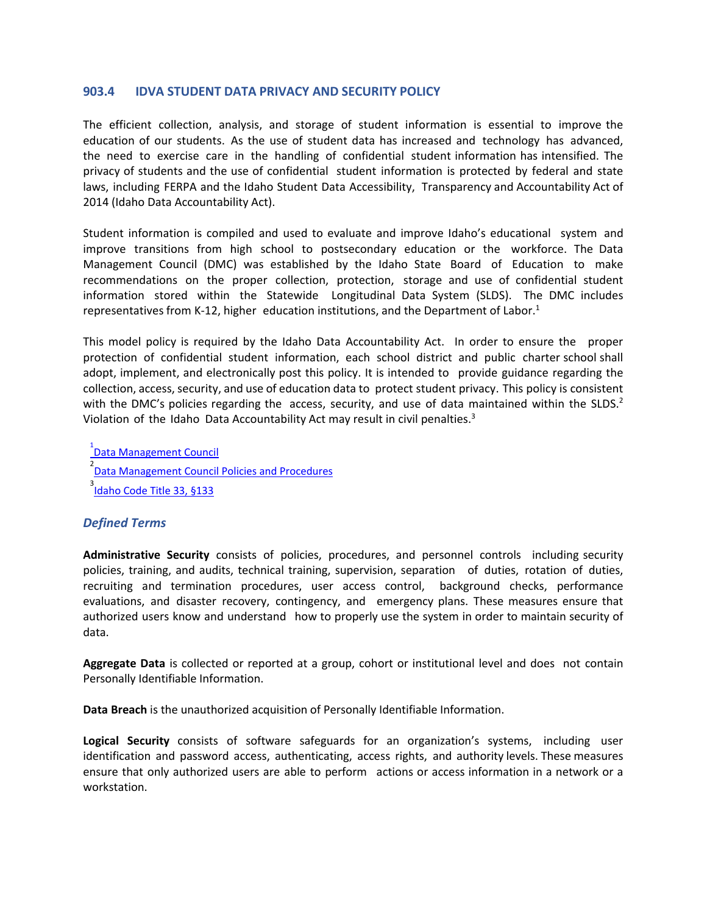## **903.4 IDVA STUDENT DATA PRIVACY AND SECURITY POLICY**

The efficient collection, analysis, and storage of student information is essential to improve the education of our students. As the use of student data has increased and technology has advanced, the need to exercise care in the handling of confidential student information has intensified. The privacy of students and the use of confidential student information is protected by federal and state laws, including FERPA and the Idaho Student Data Accessibility, Transparency and Accountability Act of 2014 (Idaho Data Accountability Act).

Student information is compiled and used to evaluate and improve Idaho's educational system and improve transitions from high school to postsecondary education or the workforce. The Data Management Council (DMC) was established by the Idaho State Board of Education to make recommendations on the proper collection, protection, storage and use of confidential student information stored within the Statewide Longitudinal Data System (SLDS). The DMC includes representatives from K-12, higher education institutions, and the Department of Labor.<sup>1</sup>

This model policy is required by the Idaho Data Accountability Act. In order to ensure the proper protection of confidential student information, each school district and public charter school shall adopt, implement, and electronically post this policy. It is intended to provide guidance regarding the collection, access, security, and use of education data to protect student privacy. This policy is consistent with the DMC's policies regarding the access, security, and use of data maintained within the  $SLDS<sup>2</sup>$ Violation of the Idaho Data Accountability Act may result in civil penalties.<sup>3</sup>

1<br><u>Data Management Council</u> <sup>2</sup><br>Data Management Council Policies and Procedures <sub>3</sub><br>I<mark>ldaho Code Title 33, §133</mark>

# *Defined Terms*

**Administrative Security**  consists of policies, procedures, and personnel controls including security policies, training, and audits, technical training, supervision, separation of duties, rotation of duties, recruiting and termination procedures, user access control, background checks, performance evaluations, and disaster recovery, contingency, and emergency plans. These measures ensure that authorized users know and understand how to properly use the system in order to maintain security of data.

**Aggregate Data** is collected or reported at a group, cohort or institutional level and does not contain Personally Identifiable Information.

**Data Breach** is the unauthorized acquisition of Personally Identifiable Information.

**Logical Security**  consists of software safeguards for an organization's systems, including user identification and password access, authenticating, access rights, and authority levels. These measures ensure that only authorized users are able to perform actions or access information in a network or a workstation.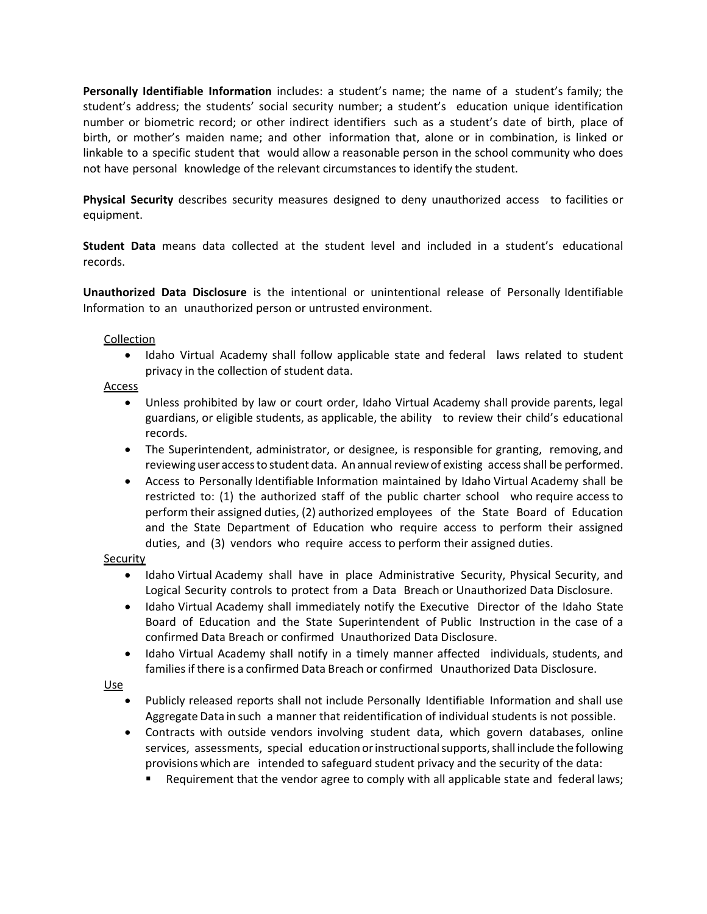**Personally Identifiable Information**  includes: a student's name; the name of a student's family; the student's address; the students' social security number; a student's education unique identification number or biometric record; or other indirect identifiers such as a student's date of birth, place of birth, or mother's maiden name; and other information that, alone or in combination, is linked or linkable to a specific student that would allow a reasonable person in the school community who does not have personal knowledge of the relevant circumstances to identify the student.

**Physical Security**  describes security measures designed to deny unauthorized access to facilities or equipment.

**Student Data**  means data collected at the student level and included in a student's educational records.

**Unauthorized Data Disclosure**  is the intentional or unintentional release of Personally Identifiable Information to an unauthorized person or untrusted environment.

## Collection

• Idaho Virtual Academy shall follow applicable state and federal laws related to student privacy in the collection of student data.

## Access

- Unless prohibited by law or court order, Idaho Virtual Academy shall provide parents, legal guardians, or eligible students, as applicable, the ability to review their child's educational records.
- The Superintendent, administrator, or designee, is responsible for granting, removing, and reviewing user access to student data. An annual review of existing access shall be performed.
- Access to Personally Identifiable Information maintained by Idaho Virtual Academy shall be restricted to: (1) the authorized staff of the public charter school who require access to perform their assigned duties, (2) authorized employees of the State Board of Education and the State Department of Education who require access to perform their assigned duties, and (3) vendors who require access to perform their assigned duties.

## **Security**

- Idaho Virtual Academy shall have in place Administrative Security, Physical Security, and Logical Security controls to protect from a Data Breach or Unauthorized Data Disclosure.
- Idaho Virtual Academy shall immediately notify the Executive Director of the Idaho State Board of Education and the State Superintendent of Public Instruction in the case of a confirmed Data Breach or confirmed Unauthorized Data Disclosure.
- Idaho Virtual Academy shall notify in a timely manner affected individuals, students, and families if there is a confirmed Data Breach or confirmed Unauthorized Data Disclosure.

## Use

- Publicly released reports shall not include Personally Identifiable Information and shall use Aggregate Data in such a manner that reidentification of individual students is not possible.
- Contracts with outside vendors involving student data, which govern databases, online services, assessments, special education or instructional supports, shall include the following provisions which are intended to safeguard student privacy and the security of the data:
	- Requirement that the vendor agree to comply with all applicable state and federal laws;